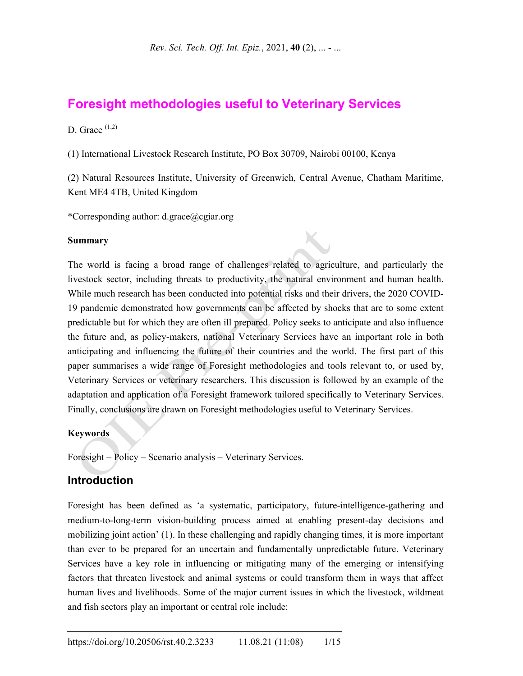# **Foresight methodologies useful to Veterinary Services**

D. Grace  $(1,2)$ 

(1) International Livestock Research Institute, PO Box 30709, Nairobi 00100, Kenya

(2) Natural Resources Institute, University of Greenwich, Central Avenue, Chatham Maritime, Kent ME4 4TB, United Kingdom

X

\*Corresponding author: d.grace@cgiar.org

#### **Summary**

The world is facing a broad range of challenges related to agriculture, and particularly the livestock sector, including threats to productivity, the natural environment and human health. While much research has been conducted into potential risks and their drivers, the 2020 COVID-19 pandemic demonstrated how governments can be affected by shocks that are to some extent predictable but for which they are often ill prepared. Policy seeks to anticipate and also influence the future and, as policy-makers, national Veterinary Services have an important role in both anticipating and influencing the future of their countries and the world. The first part of this paper summarises a wide range of Foresight methodologies and tools relevant to, or used by, Veterinary Services or veterinary researchers. This discussion is followed by an example of the adaptation and application of a Foresight framework tailored specifically to Veterinary Services. Finally, conclusions are drawn on Foresight methodologies useful to Veterinary Services.

#### **Keywords**

Foresight – Policy – Scenario analysis – Veterinary Services.

### **Introduction**

Foresight has been defined as 'a systematic, participatory, future-intelligence-gathering and medium-to-long-term vision-building process aimed at enabling present-day decisions and mobilizing joint action' (1). In these challenging and rapidly changing times, it is more important than ever to be prepared for an uncertain and fundamentally unpredictable future. Veterinary Services have a key role in influencing or mitigating many of the emerging or intensifying factors that threaten livestock and animal systems or could transform them in ways that affect human lives and livelihoods. Some of the major current issues in which the livestock, wildmeat and fish sectors play an important or central role include: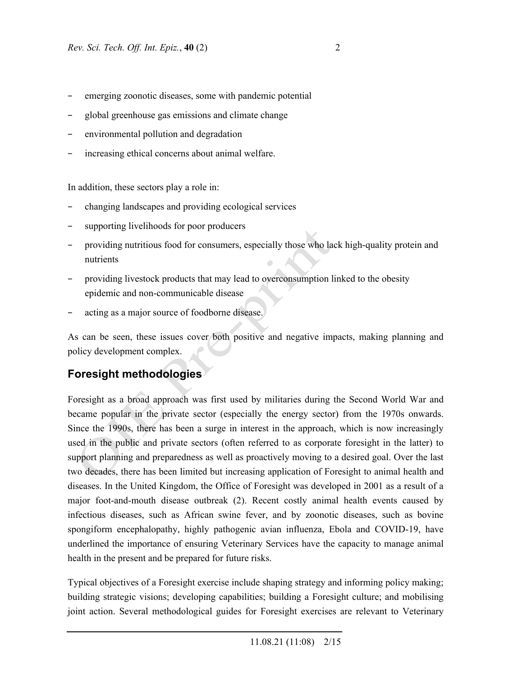- emerging zoonotic diseases, some with pandemic potential
- − global greenhouse gas emissions and climate change
- environmental pollution and degradation
- increasing ethical concerns about animal welfare.

In addition, these sectors play a role in:

- − changing landscapes and providing ecological services
- supporting livelihoods for poor producers
- providing nutritious food for consumers, especially those who lack high-quality protein and nutrients
- providing livestock products that may lead to overconsumption linked to the obesity epidemic and non-communicable disease
- acting as a major source of foodborne disease.

As can be seen, these issues cover both positive and negative impacts, making planning and policy development complex.

## **Foresight methodologies**

Foresight as a broad approach was first used by militaries during the Second World War and became popular in the private sector (especially the energy sector) from the 1970s onwards. Since the 1990s, there has been a surge in interest in the approach, which is now increasingly used in the public and private sectors (often referred to as corporate foresight in the latter) to support planning and preparedness as well as proactively moving to a desired goal. Over the last two decades, there has been limited but increasing application of Foresight to animal health and diseases. In the United Kingdom, the Office of Foresight was developed in 2001 as a result of a major foot-and-mouth disease outbreak (2). Recent costly animal health events caused by infectious diseases, such as African swine fever, and by zoonotic diseases, such as bovine spongiform encephalopathy, highly pathogenic avian influenza, Ebola and COVID-19, have underlined the importance of ensuring Veterinary Services have the capacity to manage animal health in the present and be prepared for future risks.

Typical objectives of a Foresight exercise include shaping strategy and informing policy making; building strategic visions; developing capabilities; building a Foresight culture; and mobilising joint action. Several methodological guides for Foresight exercises are relevant to Veterinary

 <sup>11.08.21 (11:08) 2/15</sup>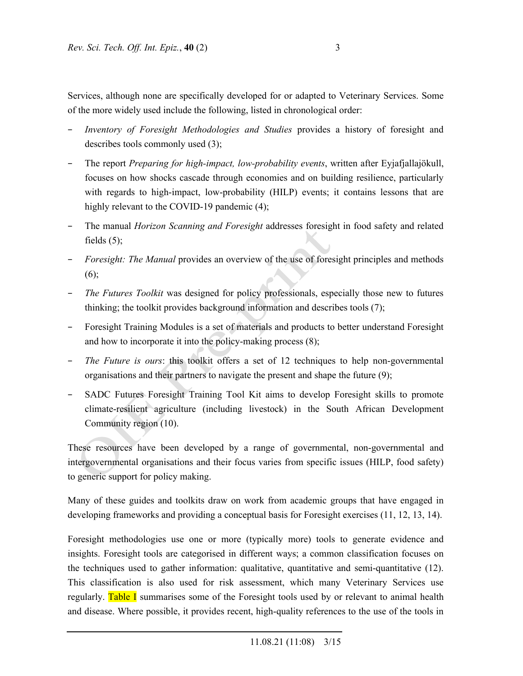Services, although none are specifically developed for or adapted to Veterinary Services. Some of the more widely used include the following, listed in chronological order:

- *Inventory of Foresight Methodologies and Studies* provides a history of foresight and describes tools commonly used (3);
- − The report *Preparing for high-impact, low-probability events*, written after Eyjafjallajökull, focuses on how shocks cascade through economies and on building resilience, particularly with regards to high-impact, low-probability (HILP) events; it contains lessons that are highly relevant to the COVID-19 pandemic (4);
- The manual *Horizon Scanning and Foresight* addresses foresight in food safety and related fields  $(5)$ ;
- *Foresight: The Manual* provides an overview of the use of foresight principles and methods  $(6)$ ;
- *The Futures Toolkit* was designed for policy professionals, especially those new to futures thinking; the toolkit provides background information and describes tools (7);
- Foresight Training Modules is a set of materials and products to better understand Foresight and how to incorporate it into the policy-making process (8);
- *The Future is ours*: this toolkit offers a set of 12 techniques to help non-governmental organisations and their partners to navigate the present and shape the future (9);
- SADC Futures Foresight Training Tool Kit aims to develop Foresight skills to promote climate-resilient agriculture (including livestock) in the South African Development Community region (10).

These resources have been developed by a range of governmental, non-governmental and intergovernmental organisations and their focus varies from specific issues (HILP, food safety) to generic support for policy making.

Many of these guides and toolkits draw on work from academic groups that have engaged in developing frameworks and providing a conceptual basis for Foresight exercises (11, 12, 13, 14).

Foresight methodologies use one or more (typically more) tools to generate evidence and insights. Foresight tools are categorised in different ways; a common classification focuses on the techniques used to gather information: qualitative, quantitative and semi-quantitative (12). This classification is also used for risk assessment, which many Veterinary Services use regularly. Table I summarises some of the Foresight tools used by or relevant to animal health and disease. Where possible, it provides recent, high-quality references to the use of the tools in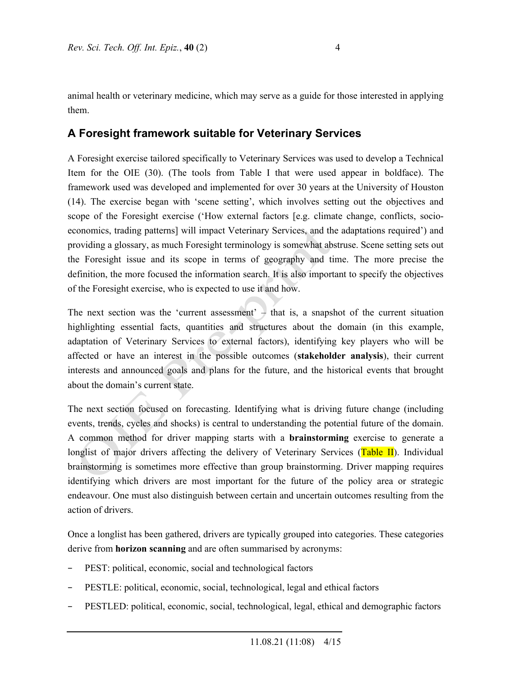animal health or veterinary medicine, which may serve as a guide for those interested in applying them.

### **A Foresight framework suitable for Veterinary Services**

A Foresight exercise tailored specifically to Veterinary Services was used to develop a Technical Item for the OIE (30). (The tools from Table I that were used appear in boldface). The framework used was developed and implemented for over 30 years at the University of Houston (14). The exercise began with 'scene setting', which involves setting out the objectives and scope of the Foresight exercise ('How external factors [e.g. climate change, conflicts, socioeconomics, trading patterns] will impact Veterinary Services, and the adaptations required') and providing a glossary, as much Foresight terminology is somewhat abstruse. Scene setting sets out the Foresight issue and its scope in terms of geography and time. The more precise the definition, the more focused the information search. It is also important to specify the objectives of the Foresight exercise, who is expected to use it and how.

The next section was the 'current assessment'  $-$  that is, a snapshot of the current situation highlighting essential facts, quantities and structures about the domain (in this example, adaptation of Veterinary Services to external factors), identifying key players who will be affected or have an interest in the possible outcomes (**stakeholder analysis**), their current interests and announced goals and plans for the future, and the historical events that brought about the domain's current state.

The next section focused on forecasting. Identifying what is driving future change (including events, trends, cycles and shocks) is central to understanding the potential future of the domain. A common method for driver mapping starts with a **brainstorming** exercise to generate a longlist of major drivers affecting the delivery of Veterinary Services (Table II). Individual brainstorming is sometimes more effective than group brainstorming. Driver mapping requires identifying which drivers are most important for the future of the policy area or strategic endeavour. One must also distinguish between certain and uncertain outcomes resulting from the action of drivers.

Once a longlist has been gathered, drivers are typically grouped into categories. These categories derive from **horizon scanning** and are often summarised by acronyms:

- PEST: political, economic, social and technological factors
- PESTLE: political, economic, social, technological, legal and ethical factors
- − PESTLED: political, economic, social, technological, legal, ethical and demographic factors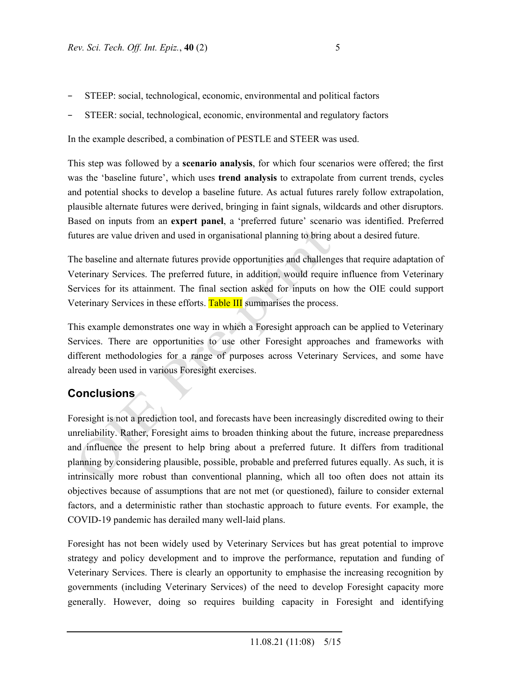- STEEP: social, technological, economic, environmental and political factors
- STEER: social, technological, economic, environmental and regulatory factors

In the example described, a combination of PESTLE and STEER was used.

This step was followed by a **scenario analysis**, for which four scenarios were offered; the first was the 'baseline future', which uses **trend analysis** to extrapolate from current trends, cycles and potential shocks to develop a baseline future. As actual futures rarely follow extrapolation, plausible alternate futures were derived, bringing in faint signals, wildcards and other disruptors. Based on inputs from an **expert panel**, a 'preferred future' scenario was identified. Preferred futures are value driven and used in organisational planning to bring about a desired future.

The baseline and alternate futures provide opportunities and challenges that require adaptation of Veterinary Services. The preferred future, in addition, would require influence from Veterinary Services for its attainment. The final section asked for inputs on how the OIE could support Veterinary Services in these efforts. Table III summarises the process.

This example demonstrates one way in which a Foresight approach can be applied to Veterinary Services. There are opportunities to use other Foresight approaches and frameworks with different methodologies for a range of purposes across Veterinary Services, and some have already been used in various Foresight exercises.

## **Conclusions**

Foresight is not a prediction tool, and forecasts have been increasingly discredited owing to their unreliability. Rather, Foresight aims to broaden thinking about the future, increase preparedness and influence the present to help bring about a preferred future. It differs from traditional planning by considering plausible, possible, probable and preferred futures equally. As such, it is intrinsically more robust than conventional planning, which all too often does not attain its objectives because of assumptions that are not met (or questioned), failure to consider external factors, and a deterministic rather than stochastic approach to future events. For example, the COVID-19 pandemic has derailed many well-laid plans.

Foresight has not been widely used by Veterinary Services but has great potential to improve strategy and policy development and to improve the performance, reputation and funding of Veterinary Services. There is clearly an opportunity to emphasise the increasing recognition by governments (including Veterinary Services) of the need to develop Foresight capacity more generally. However, doing so requires building capacity in Foresight and identifying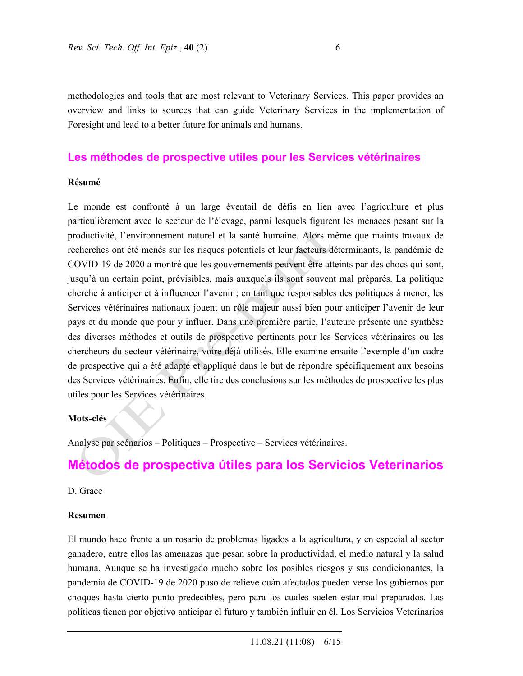methodologies and tools that are most relevant to Veterinary Services. This paper provides an overview and links to sources that can guide Veterinary Services in the implementation of Foresight and lead to a better future for animals and humans.

### **Les méthodes de prospective utiles pour les Services vétérinaires**

#### **Résumé**

Le monde est confronté à un large éventail de défis en lien avec l'agriculture et plus particulièrement avec le secteur de l'élevage, parmi lesquels figurent les menaces pesant sur la productivité, l'environnement naturel et la santé humaine. Alors même que maints travaux de recherches ont été menés sur les risques potentiels et leur facteurs déterminants, la pandémie de COVID-19 de 2020 a montré que les gouvernements peuvent être atteints par des chocs qui sont, jusqu'à un certain point, prévisibles, mais auxquels ils sont souvent mal préparés. La politique cherche à anticiper et à influencer l'avenir ; en tant que responsables des politiques à mener, les Services vétérinaires nationaux jouent un rôle majeur aussi bien pour anticiper l'avenir de leur pays et du monde que pour y influer. Dans une première partie, l'auteure présente une synthèse des diverses méthodes et outils de prospective pertinents pour les Services vétérinaires ou les chercheurs du secteur vétérinaire, voire déjà utilisés. Elle examine ensuite l'exemple d'un cadre de prospective qui a été adapté et appliqué dans le but de répondre spécifiquement aux besoins des Services vétérinaires. Enfin, elle tire des conclusions sur les méthodes de prospective les plus utiles pour les Services vétérinaires.

#### **Mots-clés**

Analyse par scénarios – Politiques – Prospective – Services vétérinaires.

# **Métodos de prospectiva útiles para los Servicios Veterinarios**

#### D. Grace

#### **Resumen**

El mundo hace frente a un rosario de problemas ligados a la agricultura, y en especial al sector ganadero, entre ellos las amenazas que pesan sobre la productividad, el medio natural y la salud humana. Aunque se ha investigado mucho sobre los posibles riesgos y sus condicionantes, la pandemia de COVID-19 de 2020 puso de relieve cuán afectados pueden verse los gobiernos por choques hasta cierto punto predecibles, pero para los cuales suelen estar mal preparados. Las políticas tienen por objetivo anticipar el futuro y también influir en él. Los Servicios Veterinarios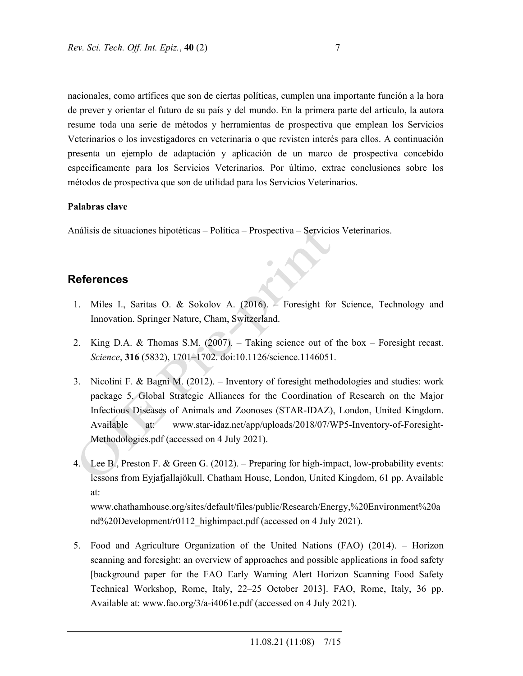nacionales, como artífices que son de ciertas políticas, cumplen una importante función a la hora de prever y orientar el futuro de su país y del mundo. En la primera parte del artículo, la autora resume toda una serie de métodos y herramientas de prospectiva que emplean los Servicios Veterinarios o los investigadores en veterinaria o que revisten interés para ellos. A continuación presenta un ejemplo de adaptación y aplicación de un marco de prospectiva concebido específicamente para los Servicios Veterinarios. Por último, extrae conclusiones sobre los métodos de prospectiva que son de utilidad para los Servicios Veterinarios.

#### **Palabras clave**

Análisis de situaciones hipotéticas – Política – Prospectiva – Servicios Veterinarios.

### **References**

- 1. Miles I., Saritas O. & Sokolov A. (2016). Foresight for Science, Technology and Innovation. Springer Nature, Cham, Switzerland.
- 2. King D.A. & Thomas S.M. (2007). Taking science out of the box Foresight recast. *Science*, **316** (5832), 1701–1702. doi:10.1126/science.1146051.
- 3. Nicolini F. & Bagni M. (2012). Inventory of foresight methodologies and studies: work package 5. Global Strategic Alliances for the Coordination of Research on the Major Infectious Diseases of Animals and Zoonoses (STAR-IDAZ), London, United Kingdom. Available at: www.star-idaz.net/app/uploads/2018/07/WP5-Inventory-of-Foresight-Methodologies.pdf (accessed on 4 July 2021).
- 4. Lee B., Preston F. & Green G. (2012). Preparing for high-impact, low-probability events: lessons from Eyjafjallajökull. Chatham House, London, United Kingdom, 61 pp. Available at:

www.chathamhouse.org/sites/default/files/public/Research/Energy,%20Environment%20a nd%20Development/r0112\_highimpact.pdf (accessed on 4 July 2021).

5. Food and Agriculture Organization of the United Nations (FAO) (2014). – Horizon scanning and foresight: an overview of approaches and possible applications in food safety [background paper for the FAO Early Warning Alert Horizon Scanning Food Safety Technical Workshop, Rome, Italy, 22–25 October 2013]. FAO, Rome, Italy, 36 pp. Available at: www.fao.org/3/a-i4061e.pdf (accessed on 4 July 2021).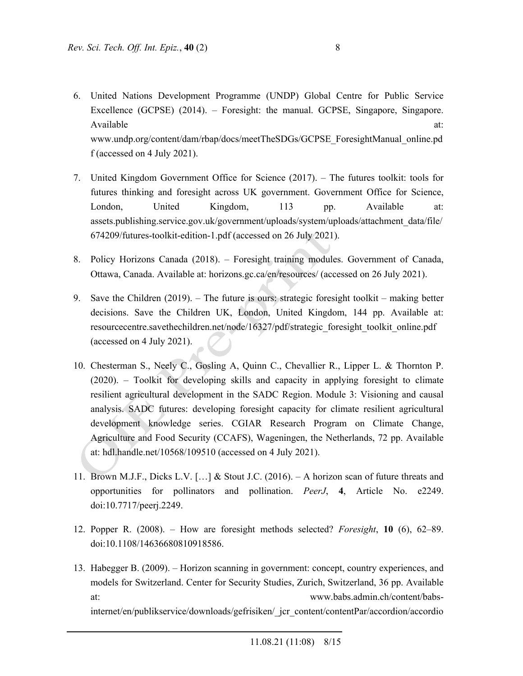- 6. United Nations Development Programme (UNDP) Global Centre for Public Service Excellence (GCPSE) (2014). – Foresight: the manual. GCPSE, Singapore, Singapore. Available at:  $\overline{a}$  at: www.undp.org/content/dam/rbap/docs/meetTheSDGs/GCPSE\_ForesightManual\_online.pd f (accessed on 4 July 2021).
- 7. United Kingdom Government Office for Science (2017). The futures toolkit: tools for futures thinking and foresight across UK government. Government Office for Science, London, United Kingdom, 113 pp. Available at: assets.publishing.service.gov.uk/government/uploads/system/uploads/attachment\_data/file/ 674209/futures-toolkit-edition-1.pdf (accessed on 26 July 2021).
- 8. Policy Horizons Canada (2018). Foresight training modules. Government of Canada, Ottawa, Canada. Available at: horizons.gc.ca/en/resources/ (accessed on 26 July 2021).
- 9. Save the Children (2019). The future is ours: strategic foresight toolkit making better decisions. Save the Children UK, London, United Kingdom, 144 pp. Available at: resourcecentre.savethechildren.net/node/16327/pdf/strategic\_foresight\_toolkit\_online.pdf (accessed on 4 July 2021).
- 10. Chesterman S., Neely C., Gosling A, Quinn C., Chevallier R., Lipper L. & Thornton P. (2020). – Toolkit for developing skills and capacity in applying foresight to climate resilient agricultural development in the SADC Region. Module 3: Visioning and causal analysis. SADC futures: developing foresight capacity for climate resilient agricultural development knowledge series. CGIAR Research Program on Climate Change, Agriculture and Food Security (CCAFS), Wageningen, the Netherlands, 72 pp. Available at: hdl.handle.net/10568/109510 (accessed on 4 July 2021).
- 11. Brown M.J.F., Dicks L.V. […] & Stout J.C. (2016). A horizon scan of future threats and opportunities for pollinators and pollination. *PeerJ*, **4**, Article No. e2249. doi:10.7717/peerj.2249.
- 12. Popper R. (2008). How are foresight methods selected? *Foresight*, **10** (6), 62–89. doi:10.1108/14636680810918586.
- 13. Habegger B. (2009). Horizon scanning in government: concept, country experiences, and models for Switzerland. Center for Security Studies, Zurich, Switzerland, 36 pp. Available at: www.babs.admin.ch/content/babsinternet/en/publikservice/downloads/gefrisiken/\_jcr\_content/contentPar/accordion/accordio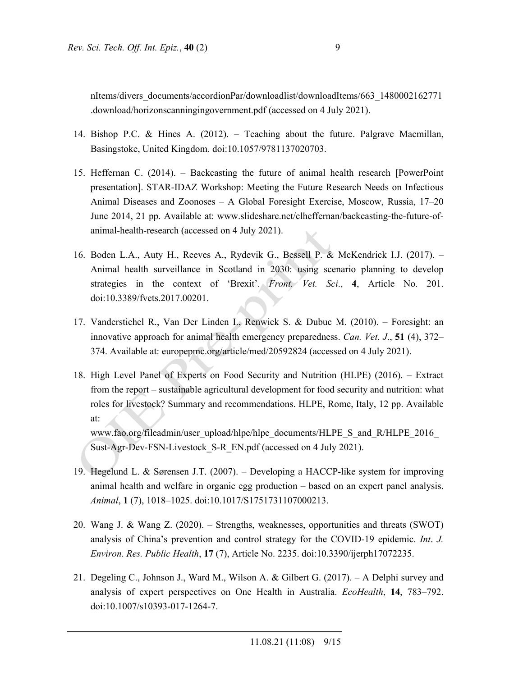nItems/divers\_documents/accordionPar/downloadlist/downloadItems/663\_1480002162771 .download/horizonscanningingovernment.pdf (accessed on 4 July 2021).

- 14. Bishop P.C. & Hines A. (2012). Teaching about the future. Palgrave Macmillan, Basingstoke, United Kingdom. doi:10.1057/9781137020703.
- 15. Heffernan C. (2014). Backcasting the future of animal health research [PowerPoint presentation]. STAR-IDAZ Workshop: Meeting the Future Research Needs on Infectious Animal Diseases and Zoonoses – A Global Foresight Exercise, Moscow, Russia, 17–20 June 2014, 21 pp. Available at: www.slideshare.net/clheffernan/backcasting-the-future-ofanimal-health-research (accessed on 4 July 2021).
- 16. Boden L.A., Auty H., Reeves A., Rydevik G., Bessell P. & McKendrick I.J. (2017). Animal health surveillance in Scotland in 2030: using scenario planning to develop strategies in the context of 'Brexit'. *Front. Vet. Sci*., **4**, Article No. 201. doi:10.3389/fvets.2017.00201.
- 17. Vanderstichel R., Van Der Linden I., Renwick S. & Dubuc M. (2010). Foresight: an innovative approach for animal health emergency preparedness. *Can. Vet. J*., **51** (4), 372– 374. Available at: europepmc.org/article/med/20592824 (accessed on 4 July 2021).
- 18. High Level Panel of Experts on Food Security and Nutrition (HLPE) (2016). Extract from the report – sustainable agricultural development for food security and nutrition: what roles for livestock? Summary and recommendations. HLPE, Rome, Italy, 12 pp. Available at:

www.fao.org/fileadmin/user\_upload/hlpe/hlpe\_documents/HLPE\_S\_and\_R/HLPE\_2016 Sust-Agr-Dev-FSN-Livestock S-R EN.pdf (accessed on 4 July 2021).

- 19. Hegelund L. & Sørensen J.T. (2007). Developing a HACCP-like system for improving animal health and welfare in organic egg production – based on an expert panel analysis. *Animal*, **1** (7), 1018–1025. doi:10.1017/S1751731107000213.
- 20. Wang J. & Wang Z. (2020). Strengths, weaknesses, opportunities and threats (SWOT) analysis of China's prevention and control strategy for the COVID-19 epidemic. *Int*. *J. Environ. Res. Public Health*, **17** (7), Article No. 2235. doi:10.3390/ijerph17072235.
- 21. Degeling C., Johnson J., Ward M., Wilson A. & Gilbert G. (2017). A Delphi survey and analysis of expert perspectives on One Health in Australia. *EcoHealth*, **14**, 783–792. doi:10.1007/s10393-017-1264-7.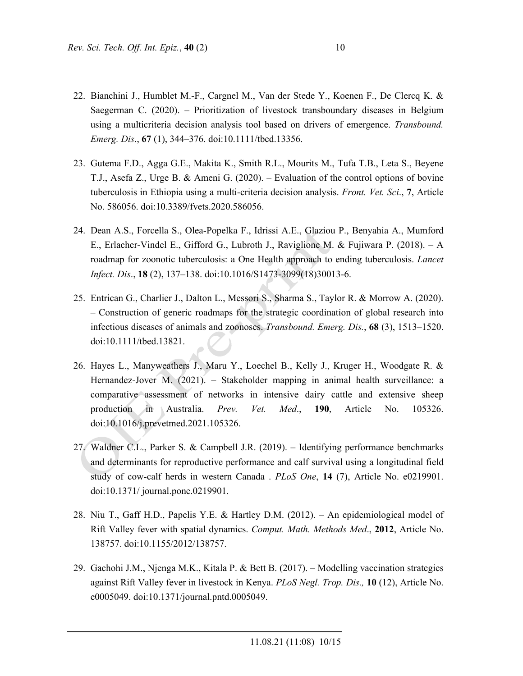- 22. Bianchini J., Humblet M.-F., Cargnel M., Van der Stede Y., Koenen F., De Clercq K. & Saegerman C. (2020). – Prioritization of livestock transboundary diseases in Belgium using a multicriteria decision analysis tool based on drivers of emergence. *Transbound. Emerg. Dis*., **67** (1), 344–376. doi:10.1111/tbed.13356.
- 23. Gutema F.D., Agga G.E., Makita K., Smith R.L., Mourits M., Tufa T.B., Leta S., Beyene T.J., Asefa Z., Urge B. & Ameni G. (2020). – Evaluation of the control options of bovine tuberculosis in Ethiopia using a multi-criteria decision analysis. *Front. Vet. Sci*., **7**, Article No. 586056. doi:10.3389/fvets.2020.586056.
- 24. Dean A.S., Forcella S., Olea-Popelka F., Idrissi A.E., Glaziou P., Benyahia A., Mumford E., Erlacher-Vindel E., Gifford G., Lubroth J., Raviglione M. & Fujiwara P. (2018). – A roadmap for zoonotic tuberculosis: a One Health approach to ending tuberculosis. *Lancet Infect. Dis*., **18** (2), 137–138. doi:10.1016/S1473-3099(18)30013-6.
- 25. Entrican G., Charlier J., Dalton L., Messori S., Sharma S., Taylor R. & Morrow A. (2020). – Construction of generic roadmaps for the strategic coordination of global research into infectious diseases of animals and zoonoses. *Transbound. Emerg. Dis.*, **68** (3), 1513–1520. doi:10.1111/tbed.13821.
- 26. Hayes L., Manyweathers J., Maru Y., Loechel B., Kelly J., Kruger H., Woodgate R. & Hernandez-Jover M. (2021). – Stakeholder mapping in animal health surveillance: a comparative assessment of networks in intensive dairy cattle and extensive sheep production in Australia. *Prev. Vet. Med*., **190**, Article No. 105326. doi:10.1016/j.prevetmed.2021.105326.
- 27. Waldner C.L., Parker S. & Campbell J.R. (2019). Identifying performance benchmarks and determinants for reproductive performance and calf survival using a longitudinal field study of cow-calf herds in western Canada . *PLoS One*, **14** (7), Article No. e0219901. doi:10.1371/ journal.pone.0219901.
- 28. Niu T., Gaff H.D., Papelis Y.E. & Hartley D.M. (2012). An epidemiological model of Rift Valley fever with spatial dynamics. *Comput. Math. Methods Med*., **2012**, Article No. 138757. doi:10.1155/2012/138757.
- 29. Gachohi J.M., Njenga M.K., Kitala P. & Bett B. (2017). Modelling vaccination strategies against Rift Valley fever in livestock in Kenya. *PLoS Negl. Trop. Dis.,* **10** (12), Article No. e0005049. doi:10.1371/journal.pntd.0005049.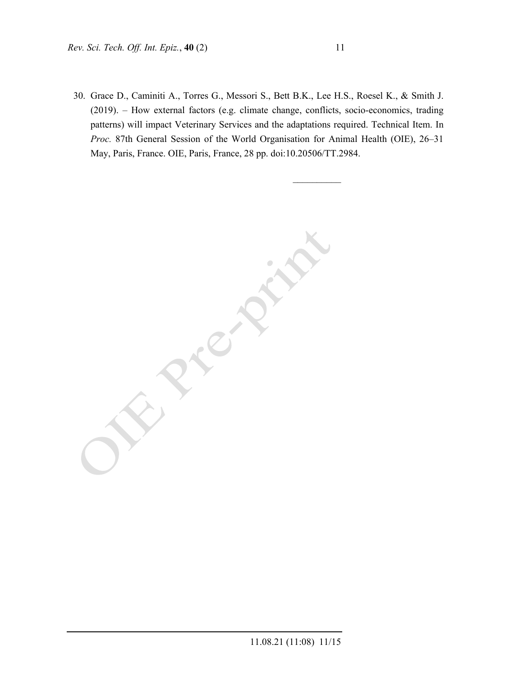30. Grace D., Caminiti A., Torres G., Messori S., Bett B.K., Lee H.S., Roesel K., & Smith J. (2019). – How external factors (e.g. climate change, conflicts, socio-economics, trading patterns) will impact Veterinary Services and the adaptations required. Technical Item. In *Proc.* 87th General Session of the World Organisation for Animal Health (OIE), 26–31 May, Paris, France. OIE, Paris, France, 28 pp. doi:10.20506/TT.2984.

 $\mathcal{L}$ 

 $\mathcal{L}_\text{max}$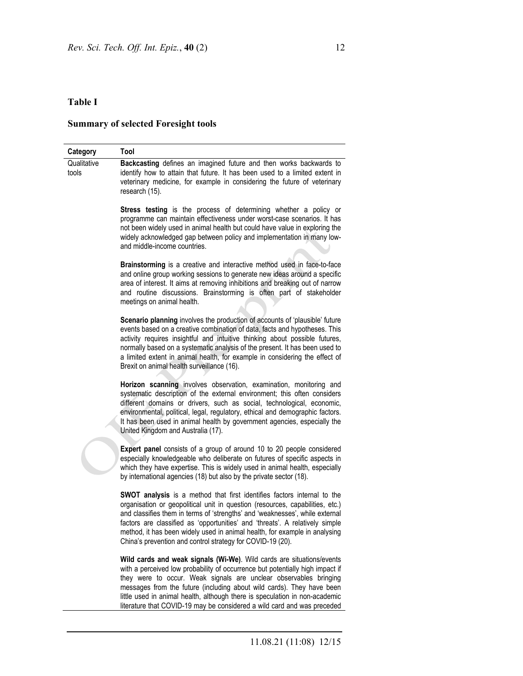## **Summary of selected Foresight tools**

| Category             | Tool                                                                                                                                                                                                                                                                                                                                                                                                                                                                 |  |  |
|----------------------|----------------------------------------------------------------------------------------------------------------------------------------------------------------------------------------------------------------------------------------------------------------------------------------------------------------------------------------------------------------------------------------------------------------------------------------------------------------------|--|--|
| Qualitative<br>tools | Backcasting defines an imagined future and then works backwards to<br>identify how to attain that future. It has been used to a limited extent in<br>veterinary medicine, for example in considering the future of veterinary<br>research (15).                                                                                                                                                                                                                      |  |  |
|                      | Stress testing is the process of determining whether a policy or<br>programme can maintain effectiveness under worst-case scenarios. It has<br>not been widely used in animal health but could have value in exploring the<br>widely acknowledged gap between policy and implementation in many low-<br>and middle-income countries.                                                                                                                                 |  |  |
|                      | Brainstorming is a creative and interactive method used in face-to-face<br>and online group working sessions to generate new ideas around a specific<br>area of interest. It aims at removing inhibitions and breaking out of narrow<br>and routine discussions. Brainstorming is often part of stakeholder<br>meetings on animal health.                                                                                                                            |  |  |
|                      | Scenario planning involves the production of accounts of 'plausible' future<br>events based on a creative combination of data, facts and hypotheses. This<br>activity requires insightful and intuitive thinking about possible futures,<br>normally based on a systematic analysis of the present. It has been used to<br>a limited extent in animal health, for example in considering the effect of<br>Brexit on animal health surveillance (16).                 |  |  |
|                      | Horizon scanning involves observation, examination, monitoring and<br>systematic description of the external environment; this often considers<br>different domains or drivers, such as social, technological, economic,<br>environmental, political, legal, regulatory, ethical and demographic factors.<br>It has been used in animal health by government agencies, especially the<br>United Kingdom and Australia (17).                                          |  |  |
|                      | Expert panel consists of a group of around 10 to 20 people considered<br>especially knowledgeable who deliberate on futures of specific aspects in<br>which they have expertise. This is widely used in animal health, especially<br>by international agencies (18) but also by the private sector (18).                                                                                                                                                             |  |  |
|                      | SWOT analysis is a method that first identifies factors internal to the<br>organisation or geopolitical unit in question (resources, capabilities, etc.)<br>and classifies them in terms of 'strengths' and 'weaknesses', while external<br>factors are classified as 'opportunities' and 'threats'. A relatively simple<br>method, it has been widely used in animal health, for example in analysing<br>China's prevention and control strategy for COVID-19 (20). |  |  |
|                      | Wild cards and weak signals (Wi-We). Wild cards are situations/events<br>with a perceived low probability of occurrence but potentially high impact if<br>they were to occur. Weak signals are unclear observables bringing<br>messages from the future (including about wild cards). They have been<br>little used in animal health, although there is speculation in non-academic<br>literature that COVID-19 may be considered a wild card and was preceded       |  |  |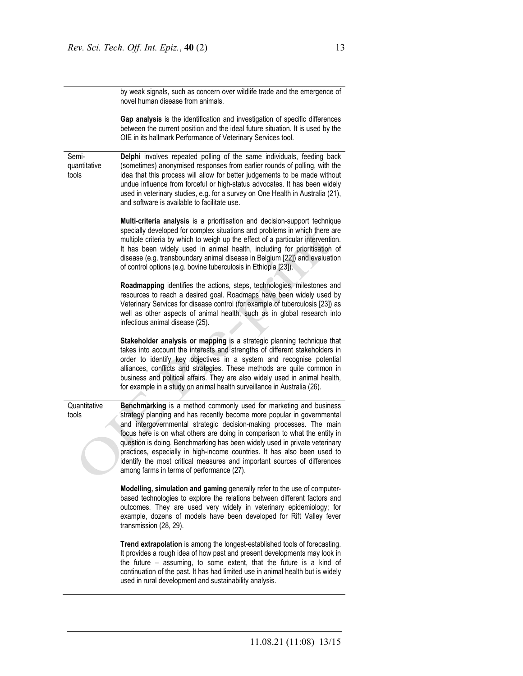by weak signals, such as concern over wildlife trade and the emergence of novel human disease from animals.

**Gap analysis** is the identification and investigation of specific differences between the current position and the ideal future situation. It is used by the OIE in its hallmark Performance of Veterinary Services tool.

Semiquantitative tools **Delphi** involves repeated polling of the same individuals, feeding back (sometimes) anonymised responses from earlier rounds of polling, with the idea that this process will allow for better judgements to be made without undue influence from forceful or high-status advocates. It has been widely used in veterinary studies, e.g. for a survey on One Health in Australia (21), and software is available to facilitate use.

> **Multi-criteria analysis** is a prioritisation and decision-support technique specially developed for complex situations and problems in which there are multiple criteria by which to weigh up the effect of a particular intervention. It has been widely used in animal health, including for prioritisation of disease (e.g. transboundary animal disease in Belgium [22]) and evaluation of control options (e.g. bovine tuberculosis in Ethiopia [23]).

> **Roadmapping** identifies the actions, steps, technologies, milestones and resources to reach a desired goal. Roadmaps have been widely used by Veterinary Services for disease control (for example of tuberculosis [23]) as well as other aspects of animal health, such as in global research into infectious animal disease (25).

> **Stakeholder analysis or mapping** is a strategic planning technique that takes into account the interests and strengths of different stakeholders in order to identify key objectives in a system and recognise potential alliances, conflicts and strategies. These methods are quite common in business and political affairs. They are also widely used in animal health, for example in a study on animal health surveillance in Australia (26).

**Quantitative** tools **Benchmarking** is a method commonly used for marketing and business strategy planning and has recently become more popular in governmental and intergovernmental strategic decision-making processes. The main focus here is on what others are doing in comparison to what the entity in question is doing. Benchmarking has been widely used in private veterinary practices, especially in high-income countries. It has also been used to identify the most critical measures and important sources of differences among farms in terms of performance (27).

> **Modelling, simulation and gaming** generally refer to the use of computerbased technologies to explore the relations between different factors and outcomes. They are used very widely in veterinary epidemiology; for example, dozens of models have been developed for Rift Valley fever transmission (28, 29).

> **Trend extrapolation** is among the longest-established tools of forecasting. It provides a rough idea of how past and present developments may look in the future – assuming, to some extent, that the future is a kind of continuation of the past. It has had limited use in animal health but is widely used in rural development and sustainability analysis.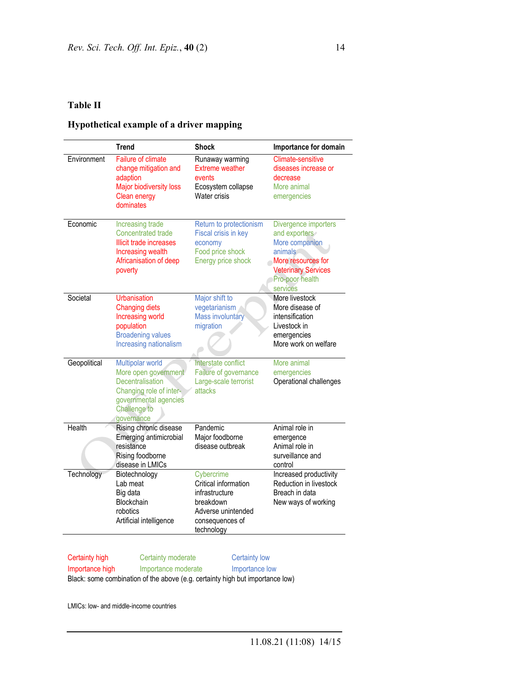### **Hypothetical example of a driver mapping**

|              | <b>Trend</b>                                                                                                                                   | <b>Shock</b>                                                                                                             | Importance for domain                                                                                                                                 |
|--------------|------------------------------------------------------------------------------------------------------------------------------------------------|--------------------------------------------------------------------------------------------------------------------------|-------------------------------------------------------------------------------------------------------------------------------------------------------|
| Environment  | <b>Failure of climate</b><br>change mitigation and<br>adaption<br>Major biodiversity loss<br>Clean energy<br>dominates                         | Runaway warming<br><b>Extreme weather</b><br>events<br>Ecosystem collapse<br>Water crisis                                | <b>Climate-sensitive</b><br>diseases increase or<br>decrease<br>More animal<br>emergencies                                                            |
| Economic     | Increasing trade<br><b>Concentrated trade</b><br>Illicit trade increases<br>Increasing wealth<br>Africanisation of deep<br>poverty             | Return to protectionism<br>Fiscal crisis in key<br>economy<br>Food price shock<br>Energy price shock                     | Divergence importers<br>and exporters<br>More companion<br>animals<br>More resources for<br><b>Veterinary Services</b><br>Pro-poor health<br>services |
| Societal     | Urbanisation<br><b>Changing diets</b><br>Increasing world<br>population<br><b>Broadening values</b><br>Increasing nationalism                  | Major shift to<br>vegetarianism<br><b>Mass involuntary</b><br>migration                                                  | More livestock<br>More disease of<br>intensification<br>Livestock in<br>emergencies<br>More work on welfare                                           |
| Geopolitical | Multipolar world<br>More open government<br>Decentralisation<br>Changing role of inter-<br>governmental agencies<br>Challenge to<br>governance | Interstate conflict<br>Failure of governance<br>Large-scale terrorist<br>attacks                                         | More animal<br>emergencies<br>Operational challenges                                                                                                  |
| Health       | Rising chronic disease<br>Emerging antimicrobial<br>resistance<br>Rising foodborne<br>disease in LMICs                                         | Pandemic<br>Major foodborne<br>disease outbreak                                                                          | Animal role in<br>emergence<br>Animal role in<br>surveillance and<br>control                                                                          |
| Technology   | Biotechnology<br>Lab meat<br>Big data<br>Blockchain<br>robotics<br>Artificial intelligence                                                     | Cybercrime<br>Critical information<br>infrastructure<br>breakdown<br>Adverse unintended<br>consequences of<br>technology | Increased productivity<br>Reduction in livestock<br>Breach in data<br>New ways of working                                                             |

Certainty high Certainty moderate Certainty low

Importance high Importance moderate Importance low

Black: some combination of the above (e.g. certainty high but importance low)

LMICs: low- and middle-income countries